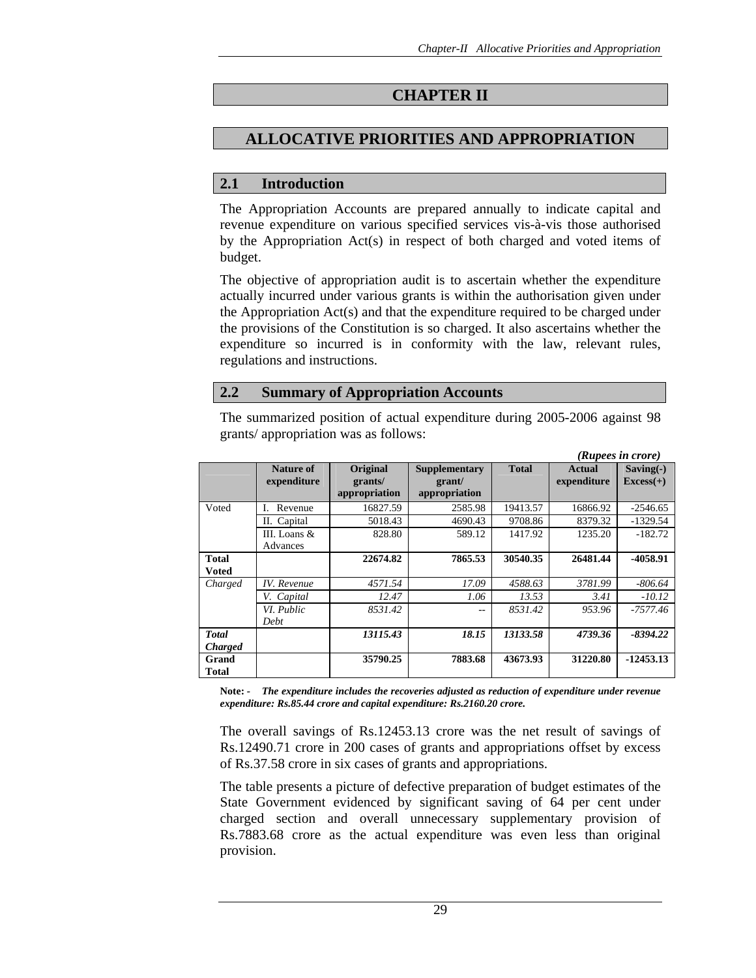# **CHAPTER II**

# **ALLOCATIVE PRIORITIES AND APPROPRIATION**

# **2.1 Introduction**

The Appropriation Accounts are prepared annually to indicate capital and revenue expenditure on various specified services vis-à-vis those authorised by the Appropriation Act(s) in respect of both charged and voted items of budget.

The objective of appropriation audit is to ascertain whether the expenditure actually incurred under various grants is within the authorisation given under the Appropriation Act(s) and that the expenditure required to be charged under the provisions of the Constitution is so charged. It also ascertains whether the expenditure so incurred is in conformity with the law, relevant rules, regulations and instructions.

### **2.2 Summary of Appropriation Accounts**

The summarized position of actual expenditure during 2005-2006 against 98 grants/ appropriation was as follows:

|                |                    |               |               |              |               | (Rupees in crore) |
|----------------|--------------------|---------------|---------------|--------------|---------------|-------------------|
|                | Nature of          | Original      | Supplementary | <b>Total</b> | <b>Actual</b> | $Saving(-)$       |
|                | expenditure        | grants/       | grant/        |              | expenditure   | $Excess(+)$       |
|                |                    | appropriation | appropriation |              |               |                   |
| Voted          | Revenue            | 16827.59      | 2585.98       | 19413.57     | 16866.92      | $-2546.65$        |
|                | II. Capital        | 5018.43       | 4690.43       | 9708.86      | 8379.32       | $-1329.54$        |
|                | III. Loans $\&$    | 828.80        | 589.12        | 1417.92      | 1235.20       | $-182.72$         |
|                | Advances           |               |               |              |               |                   |
| <b>Total</b>   |                    | 22674.82      | 7865.53       | 30540.35     | 26481.44      | -4058.91          |
| Voted          |                    |               |               |              |               |                   |
| Charged        | <b>IV.</b> Revenue | 4571.54       | 17.09         | 4588.63      | 3781.99       | $-806.64$         |
|                | V. Capital         | 12.47         | 1.06          | 13.53        | 3.41          | $-10.12$          |
|                | VI. Public         | 8531.42       | $ -$          | 8531.42      | 953.96        | $-7577.46$        |
|                | Debt               |               |               |              |               |                   |
| <b>Total</b>   |                    | 13115.43      | 18.15         | 13133.58     | 4739.36       | $-8394.22$        |
| <b>Charged</b> |                    |               |               |              |               |                   |
| Grand          |                    | 35790.25      | 7883.68       | 43673.93     | 31220.80      | $-12453.13$       |
| <b>Total</b>   |                    |               |               |              |               |                   |

**Note:** *- The expenditure includes the recoveries adjusted as reduction of expenditure under revenue expenditure: Rs.85.44 crore and capital expenditure: Rs.2160.20 crore.* 

The overall savings of Rs.12453.13 crore was the net result of savings of Rs.12490.71 crore in 200 cases of grants and appropriations offset by excess of Rs.37.58 crore in six cases of grants and appropriations.

The table presents a picture of defective preparation of budget estimates of the State Government evidenced by significant saving of 64 per cent under charged section and overall unnecessary supplementary provision of Rs.7883.68 crore as the actual expenditure was even less than original provision.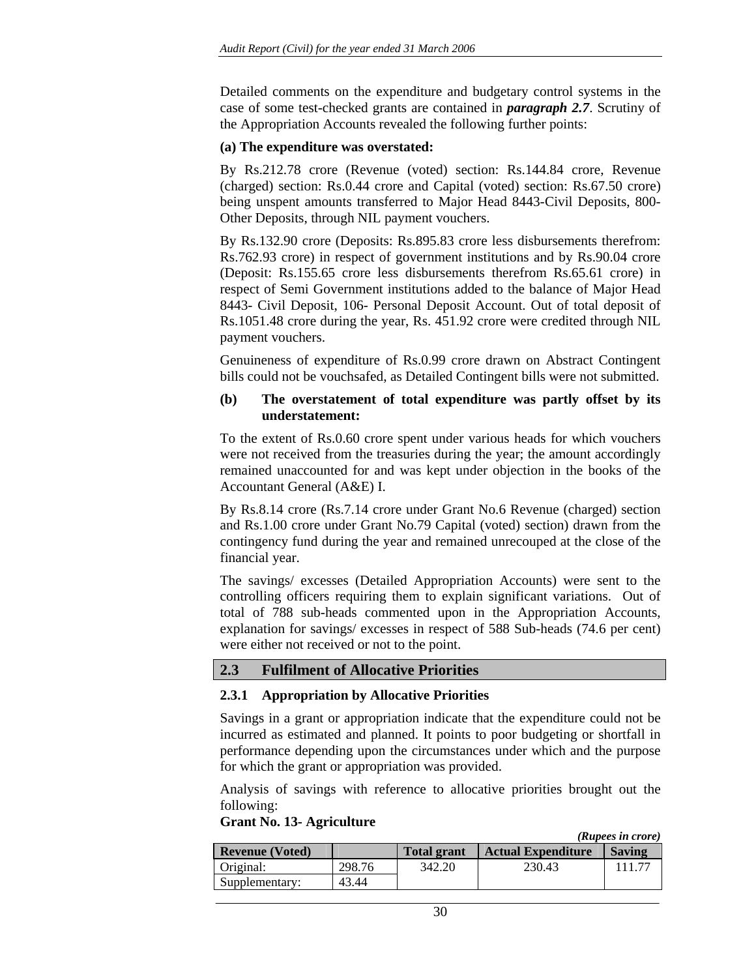Detailed comments on the expenditure and budgetary control systems in the case of some test-checked grants are contained in *paragraph 2.7*. Scrutiny of the Appropriation Accounts revealed the following further points:

#### **(a) The expenditure was overstated:**

By Rs.212.78 crore (Revenue (voted) section: Rs.144.84 crore, Revenue (charged) section: Rs.0.44 crore and Capital (voted) section: Rs.67.50 crore) being unspent amounts transferred to Major Head 8443-Civil Deposits, 800- Other Deposits, through NIL payment vouchers.

By Rs.132.90 crore (Deposits: Rs.895.83 crore less disbursements therefrom: Rs.762.93 crore) in respect of government institutions and by Rs.90.04 crore (Deposit: Rs.155.65 crore less disbursements therefrom Rs.65.61 crore) in respect of Semi Government institutions added to the balance of Major Head 8443- Civil Deposit, 106- Personal Deposit Account. Out of total deposit of Rs.1051.48 crore during the year, Rs. 451.92 crore were credited through NIL payment vouchers.

Genuineness of expenditure of Rs.0.99 crore drawn on Abstract Contingent bills could not be vouchsafed, as Detailed Contingent bills were not submitted.

#### **(b) The overstatement of total expenditure was partly offset by its understatement:**

To the extent of Rs.0.60 crore spent under various heads for which vouchers were not received from the treasuries during the year; the amount accordingly remained unaccounted for and was kept under objection in the books of the Accountant General (A&E) I.

By Rs.8.14 crore (Rs.7.14 crore under Grant No.6 Revenue (charged) section and Rs.1.00 crore under Grant No.79 Capital (voted) section) drawn from the contingency fund during the year and remained unrecouped at the close of the financial year.

The savings/ excesses (Detailed Appropriation Accounts) were sent to the controlling officers requiring them to explain significant variations. Out of total of 788 sub-heads commented upon in the Appropriation Accounts, explanation for savings/ excesses in respect of 588 Sub-heads (74.6 per cent) were either not received or not to the point.

# **2.3 Fulfilment of Allocative Priorities**

### **2.3.1 Appropriation by Allocative Priorities**

Savings in a grant or appropriation indicate that the expenditure could not be incurred as estimated and planned. It points to poor budgeting or shortfall in performance depending upon the circumstances under which and the purpose for which the grant or appropriation was provided.

Analysis of savings with reference to allocative priorities brought out the following:

#### **Grant No. 13- Agriculture**

*(Rupees in crore)*

| <b>Revenue (Voted)</b> |        | <b>Total grant</b> | <b>Actual Expenditure</b> | <b>Saving</b> |
|------------------------|--------|--------------------|---------------------------|---------------|
| Original:              | 298.76 | 342.20             | 230.43                    |               |
| Supplementary:         | 43.44  |                    |                           |               |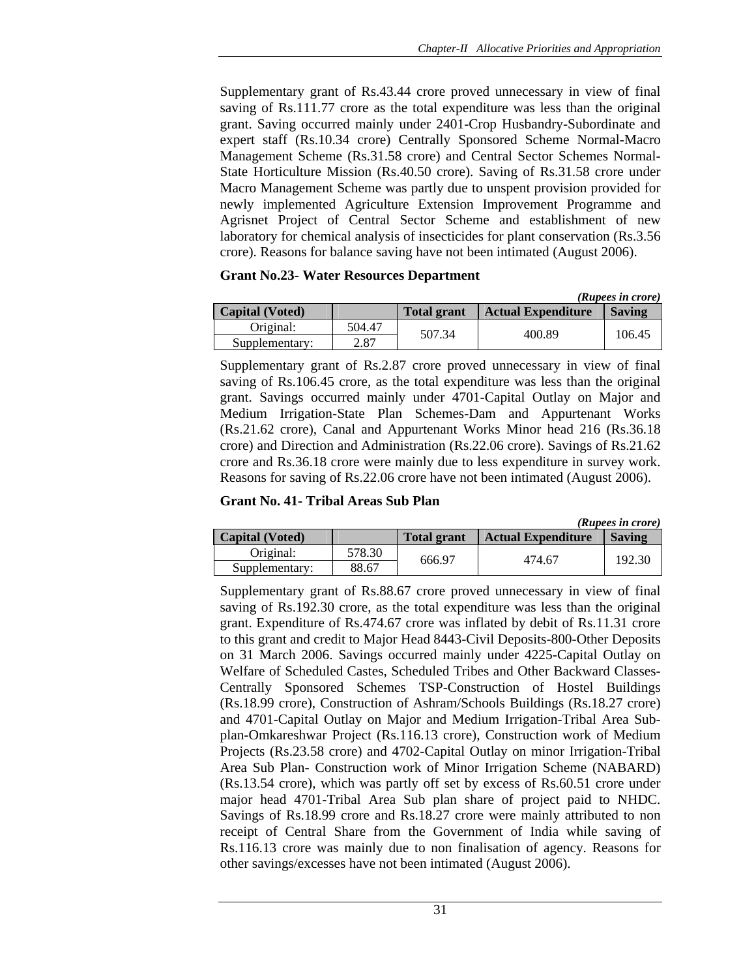Supplementary grant of Rs.43.44 crore proved unnecessary in view of final saving of Rs.111.77 crore as the total expenditure was less than the original grant. Saving occurred mainly under 2401-Crop Husbandry-Subordinate and expert staff (Rs.10.34 crore) Centrally Sponsored Scheme Normal-Macro Management Scheme (Rs.31.58 crore) and Central Sector Schemes Normal-State Horticulture Mission (Rs.40.50 crore). Saving of Rs.31.58 crore under Macro Management Scheme was partly due to unspent provision provided for newly implemented Agriculture Extension Improvement Programme and Agrisnet Project of Central Sector Scheme and establishment of new laboratory for chemical analysis of insecticides for plant conservation (Rs.3.56 crore). Reasons for balance saving have not been intimated (August 2006).

#### **Grant No.23- Water Resources Department**

|                        |        |                    |                           | (Rupees in crore) |
|------------------------|--------|--------------------|---------------------------|-------------------|
| <b>Capital</b> (Voted) |        | <b>Total grant</b> | <b>Actual Expenditure</b> | <b>Saving</b>     |
| Original:              | 504.47 | 507.34             | 400.89                    |                   |
| Supplementary:         | 2.87   |                    |                           | 106.45            |

Supplementary grant of Rs.2.87 crore proved unnecessary in view of final saving of Rs.106.45 crore, as the total expenditure was less than the original grant. Savings occurred mainly under 4701-Capital Outlay on Major and Medium Irrigation-State Plan Schemes-Dam and Appurtenant Works (Rs.21.62 crore), Canal and Appurtenant Works Minor head 216 (Rs.36.18 crore) and Direction and Administration (Rs.22.06 crore). Savings of Rs.21.62 crore and Rs.36.18 crore were mainly due to less expenditure in survey work. Reasons for saving of Rs.22.06 crore have not been intimated (August 2006).

#### **Grant No. 41- Tribal Areas Sub Plan**

|                        |        |                    |                           | (Rupees in crore) |
|------------------------|--------|--------------------|---------------------------|-------------------|
| <b>Capital (Voted)</b> |        | <b>Total grant</b> | <b>Actual Expenditure</b> | <b>Saving</b>     |
| Original:              | 578.30 | 666.97             | 474.67                    |                   |
| Supplementary:         | 88.67  |                    |                           | 192.30            |

Supplementary grant of Rs.88.67 crore proved unnecessary in view of final saving of Rs.192.30 crore, as the total expenditure was less than the original grant. Expenditure of Rs.474.67 crore was inflated by debit of Rs.11.31 crore to this grant and credit to Major Head 8443-Civil Deposits-800-Other Deposits on 31 March 2006. Savings occurred mainly under 4225-Capital Outlay on Welfare of Scheduled Castes, Scheduled Tribes and Other Backward Classes-Centrally Sponsored Schemes TSP-Construction of Hostel Buildings (Rs.18.99 crore), Construction of Ashram/Schools Buildings (Rs.18.27 crore) and 4701-Capital Outlay on Major and Medium Irrigation-Tribal Area Subplan-Omkareshwar Project (Rs.116.13 crore), Construction work of Medium Projects (Rs.23.58 crore) and 4702-Capital Outlay on minor Irrigation-Tribal Area Sub Plan- Construction work of Minor Irrigation Scheme (NABARD) (Rs.13.54 crore), which was partly off set by excess of Rs.60.51 crore under major head 4701-Tribal Area Sub plan share of project paid to NHDC. Savings of Rs.18.99 crore and Rs.18.27 crore were mainly attributed to non receipt of Central Share from the Government of India while saving of Rs.116.13 crore was mainly due to non finalisation of agency. Reasons for other savings/excesses have not been intimated (August 2006).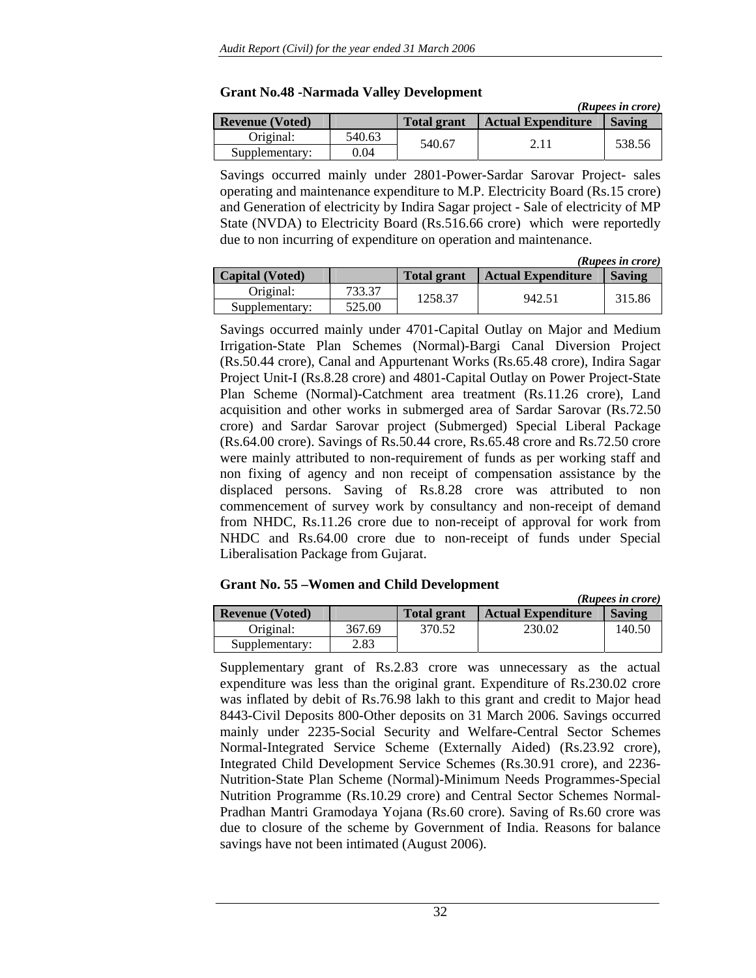|                        |        |                    |                           | (Rupees in crore) |
|------------------------|--------|--------------------|---------------------------|-------------------|
| <b>Revenue (Voted)</b> |        | <b>Total grant</b> | <b>Actual Expenditure</b> | <b>Saving</b>     |
| Original:              | 540.63 | 540.67             |                           | 538.56            |
| Supplementary:         | 0.04   |                    |                           |                   |

#### **Grant No.48 -Narmada Valley Development**

Savings occurred mainly under 2801-Power-Sardar Sarovar Project- sales operating and maintenance expenditure to M.P. Electricity Board (Rs.15 crore) and Generation of electricity by Indira Sagar project - Sale of electricity of MP State (NVDA) to Electricity Board (Rs.516.66 crore) which were reportedly due to non incurring of expenditure on operation and maintenance.

|                        |        |                    |                           | (Rupees in crore) |
|------------------------|--------|--------------------|---------------------------|-------------------|
| <b>Capital</b> (Voted) |        | <b>Total grant</b> | <b>Actual Expenditure</b> | <b>Saving</b>     |
| Original:              | 733.37 | 1258.37            | 942.51                    | 315.86            |
| Supplementary:         | 525.00 |                    |                           |                   |

Savings occurred mainly under 4701-Capital Outlay on Major and Medium Irrigation-State Plan Schemes (Normal)-Bargi Canal Diversion Project (Rs.50.44 crore), Canal and Appurtenant Works (Rs.65.48 crore), Indira Sagar Project Unit-I (Rs.8.28 crore) and 4801-Capital Outlay on Power Project-State Plan Scheme (Normal)-Catchment area treatment (Rs.11.26 crore), Land acquisition and other works in submerged area of Sardar Sarovar (Rs.72.50 crore) and Sardar Sarovar project (Submerged) Special Liberal Package (Rs.64.00 crore). Savings of Rs.50.44 crore, Rs.65.48 crore and Rs.72.50 crore were mainly attributed to non-requirement of funds as per working staff and non fixing of agency and non receipt of compensation assistance by the displaced persons. Saving of Rs.8.28 crore was attributed to non commencement of survey work by consultancy and non-receipt of demand from NHDC, Rs.11.26 crore due to non-receipt of approval for work from NHDC and Rs.64.00 crore due to non-receipt of funds under Special Liberalisation Package from Gujarat.

### **Grant No. 55 –Women and Child Development**

|                        |        |                    |                           | (Rupees in crore) |
|------------------------|--------|--------------------|---------------------------|-------------------|
| <b>Revenue (Voted)</b> |        | <b>Total grant</b> | <b>Actual Expenditure</b> | <b>Saving</b>     |
| Original:              | 367.69 | 370.52             | 230.02                    | 140.50            |
| Supplementary:         | 2.83   |                    |                           |                   |

Supplementary grant of Rs.2.83 crore was unnecessary as the actual expenditure was less than the original grant. Expenditure of Rs.230.02 crore was inflated by debit of Rs.76.98 lakh to this grant and credit to Major head 8443-Civil Deposits 800-Other deposits on 31 March 2006. Savings occurred mainly under 2235-Social Security and Welfare-Central Sector Schemes Normal-Integrated Service Scheme (Externally Aided) (Rs.23.92 crore), Integrated Child Development Service Schemes (Rs.30.91 crore), and 2236- Nutrition-State Plan Scheme (Normal)-Minimum Needs Programmes-Special Nutrition Programme (Rs.10.29 crore) and Central Sector Schemes Normal-Pradhan Mantri Gramodaya Yojana (Rs.60 crore). Saving of Rs.60 crore was due to closure of the scheme by Government of India. Reasons for balance savings have not been intimated (August 2006).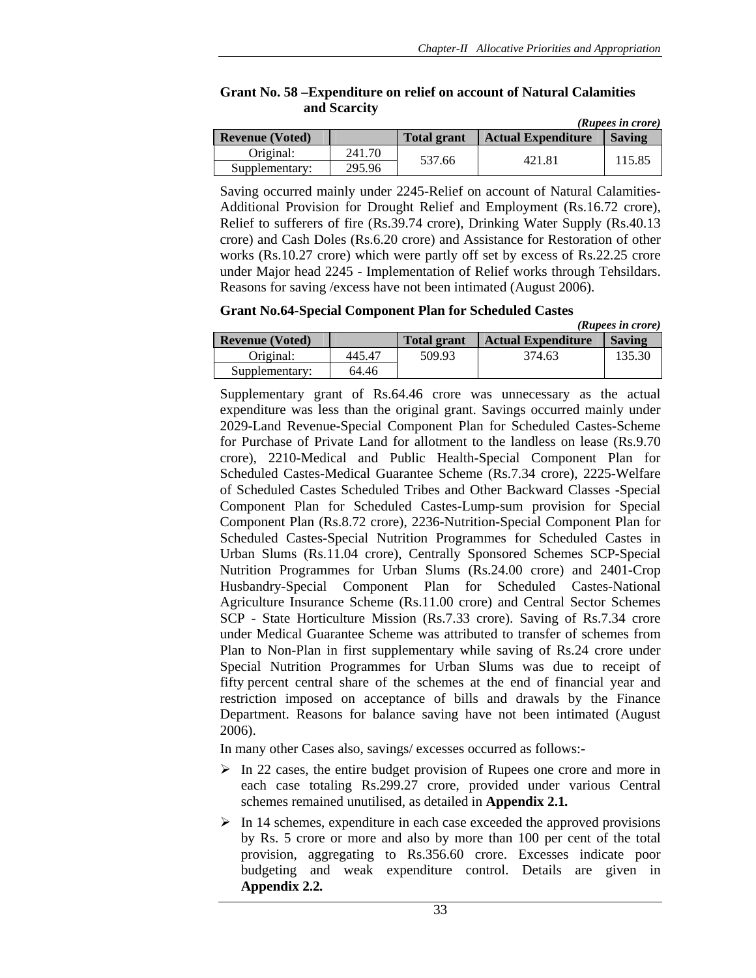|                          |        |                    |                                            | (Rupees in crore) |
|--------------------------|--------|--------------------|--------------------------------------------|-------------------|
| <b>Revenue (Voted)</b>   |        | <b>Total grant</b> | <b>Actual Expenditure</b><br><b>Saving</b> |                   |
| Original:                | 241.70 | 537.66             | 421.81                                     | 115.85            |
| 295.96<br>Supplementary: |        |                    |                                            |                   |

### **Grant No. 58 –Expenditure on relief on account of Natural Calamities and Scarcity**

Saving occurred mainly under 2245-Relief on account of Natural Calamities-Additional Provision for Drought Relief and Employment (Rs.16.72 crore), Relief to sufferers of fire (Rs.39.74 crore), Drinking Water Supply (Rs.40.13 crore) and Cash Doles (Rs.6.20 crore) and Assistance for Restoration of other works (Rs.10.27 crore) which were partly off set by excess of Rs.22.25 crore under Major head 2245 - Implementation of Relief works through Tehsildars. Reasons for saving /excess have not been intimated (August 2006).

**Grant No.64-Special Component Plan for Scheduled Castes** 

|                        |        |                    |                           | (Rupees in crore) |
|------------------------|--------|--------------------|---------------------------|-------------------|
| <b>Revenue (Voted)</b> |        | <b>Total grant</b> | <b>Actual Expenditure</b> | <b>Saving</b>     |
| Original:              | 445.47 | 509.93             | 374.63                    | 135.30            |
| Supplementary:         | 64.46  |                    |                           |                   |

Supplementary grant of Rs.64.46 crore was unnecessary as the actual expenditure was less than the original grant. Savings occurred mainly under 2029-Land Revenue-Special Component Plan for Scheduled Castes-Scheme for Purchase of Private Land for allotment to the landless on lease (Rs.9.70 crore), 2210-Medical and Public Health-Special Component Plan for Scheduled Castes-Medical Guarantee Scheme (Rs.7.34 crore), 2225-Welfare of Scheduled Castes Scheduled Tribes and Other Backward Classes -Special Component Plan for Scheduled Castes-Lump-sum provision for Special Component Plan (Rs.8.72 crore), 2236-Nutrition-Special Component Plan for Scheduled Castes-Special Nutrition Programmes for Scheduled Castes in Urban Slums (Rs.11.04 crore), Centrally Sponsored Schemes SCP-Special Nutrition Programmes for Urban Slums (Rs.24.00 crore) and 2401-Crop Husbandry-Special Component Plan for Scheduled Castes-National Agriculture Insurance Scheme (Rs.11.00 crore) and Central Sector Schemes SCP - State Horticulture Mission (Rs.7.33 crore). Saving of Rs.7.34 crore under Medical Guarantee Scheme was attributed to transfer of schemes from Plan to Non-Plan in first supplementary while saving of Rs.24 crore under Special Nutrition Programmes for Urban Slums was due to receipt of fifty percent central share of the schemes at the end of financial year and restriction imposed on acceptance of bills and drawals by the Finance Department. Reasons for balance saving have not been intimated (August 2006).

In many other Cases also, savings/ excesses occurred as follows:-

- $\triangleright$  In 22 cases, the entire budget provision of Rupees one crore and more in each case totaling Rs.299.27 crore, provided under various Central schemes remained unutilised, as detailed in **Appendix 2.1***.*
- $\triangleright$  In 14 schemes, expenditure in each case exceeded the approved provisions by Rs. 5 crore or more and also by more than 100 per cent of the total provision, aggregating to Rs.356.60 crore. Excesses indicate poor budgeting and weak expenditure control. Details are given in **Appendix 2.2***.*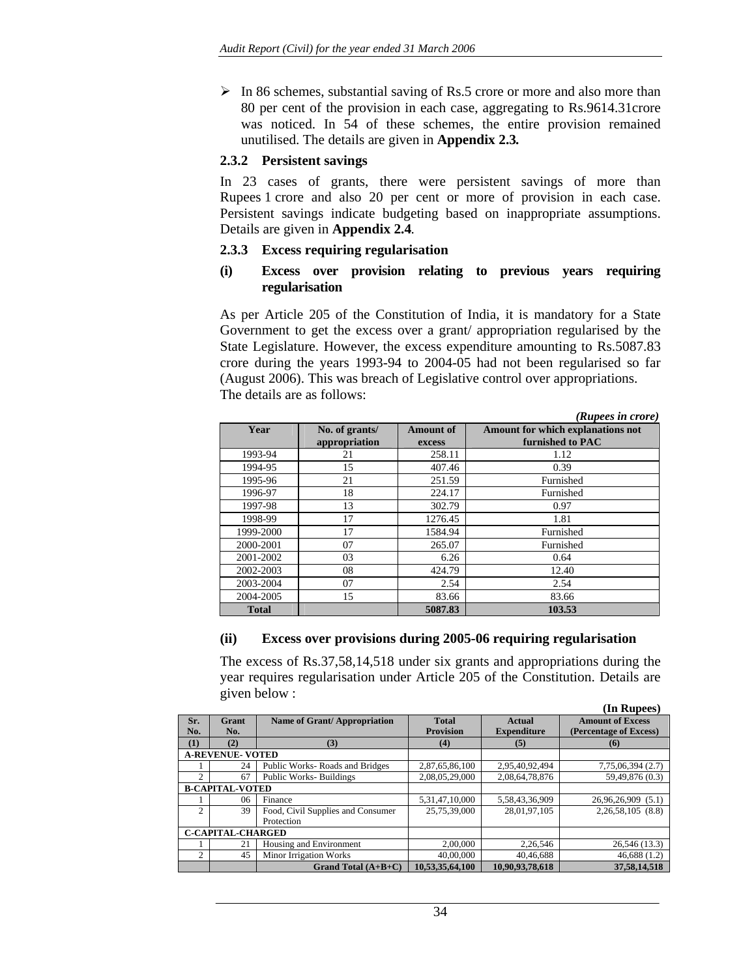$\triangleright$  In 86 schemes, substantial saving of Rs.5 crore or more and also more than 80 per cent of the provision in each case, aggregating to Rs.9614.31crore was noticed. In 54 of these schemes, the entire provision remained unutilised. The details are given in **Appendix 2.3***.* 

#### **2.3.2 Persistent savings**

In 23 cases of grants, there were persistent savings of more than Rupees 1 crore and also 20 per cent or more of provision in each case. Persistent savings indicate budgeting based on inappropriate assumptions. Details are given in **Appendix 2.4***.*

#### **2.3.3 Excess requiring regularisation**

#### **(i) Excess over provision relating to previous years requiring regularisation**

As per Article 205 of the Constitution of India, it is mandatory for a State Government to get the excess over a grant/ appropriation regularised by the State Legislature. However, the excess expenditure amounting to Rs.5087.83 crore during the years 1993-94 to 2004-05 had not been regularised so far (August 2006). This was breach of Legislative control over appropriations. The details are as follows:

|              |                                 |                            | (Rupees in crore)                                     |
|--------------|---------------------------------|----------------------------|-------------------------------------------------------|
| Year         | No. of grants/<br>appropriation | <b>Amount of</b><br>excess | Amount for which explanations not<br>furnished to PAC |
| 1993-94      | 21                              | 258.11                     | 1.12                                                  |
| 1994-95      | 15                              | 407.46                     | 0.39                                                  |
| 1995-96      | 21                              | 251.59                     | Furnished                                             |
| 1996-97      | 18                              | 224.17                     | Furnished                                             |
| 1997-98      | 13                              | 302.79                     | 0.97                                                  |
| 1998-99      | 17                              | 1276.45                    | 1.81                                                  |
| 1999-2000    | 17                              | 1584.94                    | Furnished                                             |
| 2000-2001    | 07                              | 265.07                     | Furnished                                             |
| 2001-2002    | 03                              | 6.26                       | 0.64                                                  |
| 2002-2003    | 08                              | 424.79                     | 12.40                                                 |
| 2003-2004    | 07                              | 2.54                       | 2.54                                                  |
| 2004-2005    | 15                              | 83.66                      | 83.66                                                 |
| <b>Total</b> |                                 | 5087.83                    | 103.53                                                |

### **(ii) Excess over provisions during 2005-06 requiring regularisation**

The excess of Rs.37,58,14,518 under six grants and appropriations during the year requires regularisation under Article 205 of the Constitution. Details are given below :

**(In Rupees)** 

|                          |                         |                                   |                  |                    | (III Kupces)            |
|--------------------------|-------------------------|-----------------------------------|------------------|--------------------|-------------------------|
| Sr.                      | Grant                   | Name of Grant/Appropriation       | <b>Total</b>     | Actual             | <b>Amount of Excess</b> |
| No.                      | No.                     |                                   | <b>Provision</b> | <b>Expenditure</b> | (Percentage of Excess)  |
| (1)                      | (2)                     | (3)                               | (4)              | (5)                | (6)                     |
|                          | <b>A-REVENUE- VOTED</b> |                                   |                  |                    |                         |
|                          | 24                      | Public Works-Roads and Bridges    | 2,87,65,86,100   | 2,95,40,92,494     | 7,75,06,394 (2.7)       |
| $\mathfrak{D}$           | 67                      | <b>Public Works-Buildings</b>     | 2,08,05,29,000   | 2,08,64,78,876     | 59,49,876 (0.3)         |
| <b>B-CAPITAL-VOTED</b>   |                         |                                   |                  |                    |                         |
|                          | 06                      | Finance                           | 5,31,47,10,000   | 5,58,43,36,909     | 26,96,26,909 (5.1)      |
| $\mathfrak{D}$           | 39                      | Food, Civil Supplies and Consumer | 25,75,39,000     | 28,01,97,105       | 2,26,58,105 (8.8)       |
|                          |                         | Protection                        |                  |                    |                         |
| <b>C-CAPITAL-CHARGED</b> |                         |                                   |                  |                    |                         |
|                          | 21                      | Housing and Environment           | 2.00.000         | 2,26,546           | 26,546 (13.3)           |
| 2                        | 45                      | <b>Minor Irrigation Works</b>     | 40,00,000        | 40,46,688          | 46,688(1.2)             |
|                          |                         | Grand Total $(A+B+C)$             | 10.53.35.64.100  | 10.90.93.78.618    | 37.58.14.518            |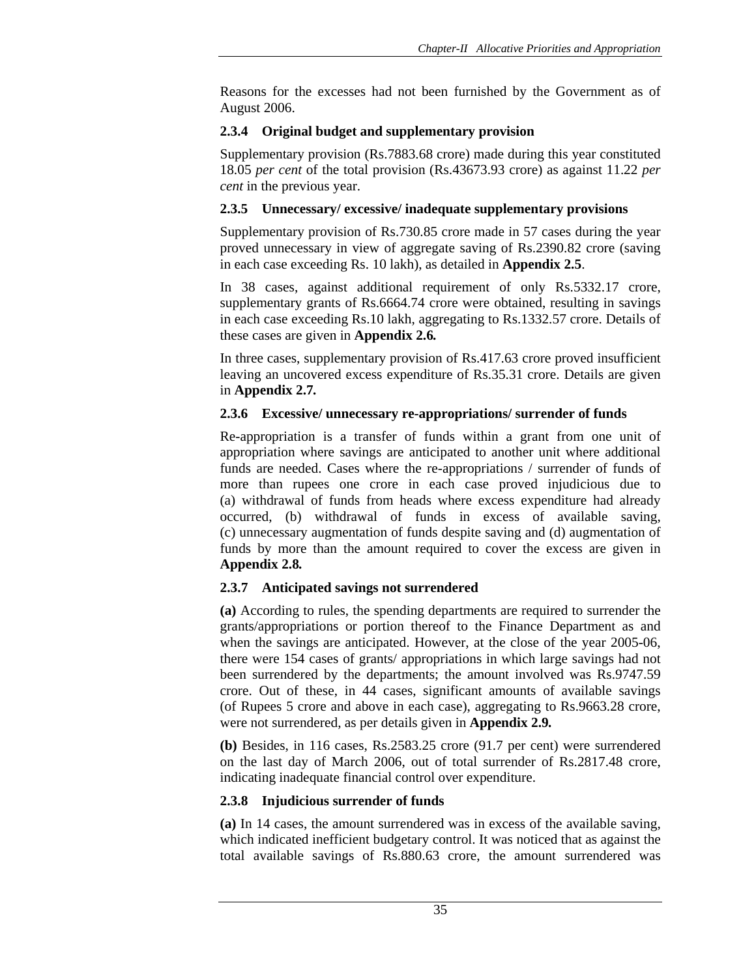Reasons for the excesses had not been furnished by the Government as of August 2006.

### **2.3.4 Original budget and supplementary provision**

Supplementary provision (Rs.7883.68 crore) made during this year constituted 18.05 *per cent* of the total provision (Rs.43673.93 crore) as against 11.22 *per cent* in the previous year.

### **2.3.5 Unnecessary/ excessive/ inadequate supplementary provisions**

Supplementary provision of Rs.730.85 crore made in 57 cases during the year proved unnecessary in view of aggregate saving of Rs.2390.82 crore (saving in each case exceeding Rs. 10 lakh), as detailed in **Appendix 2.5**.

In 38 cases, against additional requirement of only Rs.5332.17 crore, supplementary grants of Rs.6664.74 crore were obtained, resulting in savings in each case exceeding Rs.10 lakh, aggregating to Rs.1332.57 crore. Details of these cases are given in **Appendix 2.6***.* 

In three cases, supplementary provision of Rs.417.63 crore proved insufficient leaving an uncovered excess expenditure of Rs.35.31 crore. Details are given in **Appendix 2.7***.*

### **2.3.6 Excessive/ unnecessary re-appropriations/ surrender of funds**

Re-appropriation is a transfer of funds within a grant from one unit of appropriation where savings are anticipated to another unit where additional funds are needed. Cases where the re-appropriations / surrender of funds of more than rupees one crore in each case proved injudicious due to (a) withdrawal of funds from heads where excess expenditure had already occurred, (b) withdrawal of funds in excess of available saving, (c) unnecessary augmentation of funds despite saving and (d) augmentation of funds by more than the amount required to cover the excess are given in **Appendix 2.8***.*

# **2.3.7 Anticipated savings not surrendered**

**(a)** According to rules, the spending departments are required to surrender the grants/appropriations or portion thereof to the Finance Department as and when the savings are anticipated. However, at the close of the year 2005-06, there were 154 cases of grants/ appropriations in which large savings had not been surrendered by the departments; the amount involved was Rs.9747.59 crore. Out of these, in 44 cases, significant amounts of available savings (of Rupees 5 crore and above in each case), aggregating to Rs.9663.28 crore, were not surrendered, as per details given in **Appendix 2.9***.*

**(b)** Besides, in 116 cases, Rs.2583.25 crore (91.7 per cent) were surrendered on the last day of March 2006, out of total surrender of Rs.2817.48 crore, indicating inadequate financial control over expenditure.

# **2.3.8 Injudicious surrender of funds**

**(a)** In 14 cases, the amount surrendered was in excess of the available saving, which indicated inefficient budgetary control. It was noticed that as against the total available savings of Rs.880.63 crore, the amount surrendered was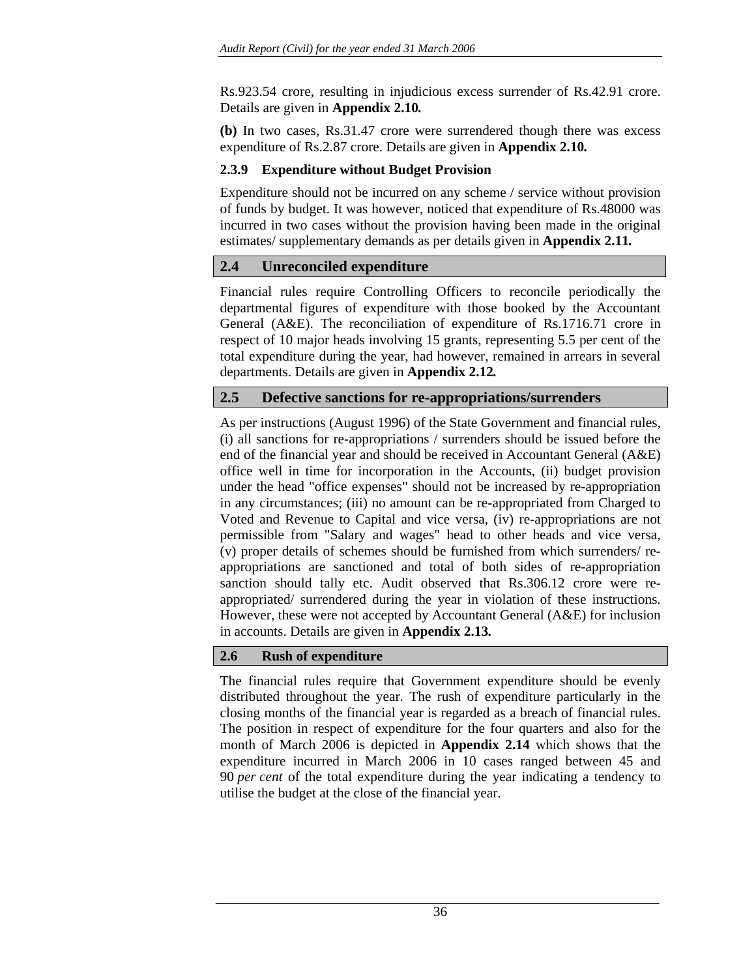Rs.923.54 crore, resulting in injudicious excess surrender of Rs.42.91 crore. Details are given in **Appendix 2.10***.*

**(b)** In two cases, Rs.31.47 crore were surrendered though there was excess expenditure of Rs.2.87 crore. Details are given in **Appendix 2.10***.*

### **2.3.9 Expenditure without Budget Provision**

Expenditure should not be incurred on any scheme / service without provision of funds by budget. It was however, noticed that expenditure of Rs.48000 was incurred in two cases without the provision having been made in the original estimates/ supplementary demands as per details given in **Appendix 2.11***.*

# **2.4 Unreconciled expenditure**

Financial rules require Controlling Officers to reconcile periodically the departmental figures of expenditure with those booked by the Accountant General (A&E). The reconciliation of expenditure of Rs.1716.71 crore in respect of 10 major heads involving 15 grants, representing 5.5 per cent of the total expenditure during the year, had however, remained in arrears in several departments. Details are given in **Appendix 2.12***.*

# **2.5 Defective sanctions for re-appropriations/surrenders**

As per instructions (August 1996) of the State Government and financial rules, (i) all sanctions for re-appropriations / surrenders should be issued before the end of the financial year and should be received in Accountant General (A&E) office well in time for incorporation in the Accounts, (ii) budget provision under the head "office expenses" should not be increased by re-appropriation in any circumstances; (iii) no amount can be re-appropriated from Charged to Voted and Revenue to Capital and vice versa, (iv) re-appropriations are not permissible from "Salary and wages" head to other heads and vice versa, (v) proper details of schemes should be furnished from which surrenders/ reappropriations are sanctioned and total of both sides of re-appropriation sanction should tally etc. Audit observed that Rs.306.12 crore were reappropriated/ surrendered during the year in violation of these instructions. However, these were not accepted by Accountant General (A&E) for inclusion in accounts. Details are given in **Appendix 2.13***.*

# **2.6 Rush of expenditure**

The financial rules require that Government expenditure should be evenly distributed throughout the year. The rush of expenditure particularly in the closing months of the financial year is regarded as a breach of financial rules. The position in respect of expenditure for the four quarters and also for the month of March 2006 is depicted in **Appendix 2.14** which shows that the expenditure incurred in March 2006 in 10 cases ranged between 45 and 90 *per cent* of the total expenditure during the year indicating a tendency to utilise the budget at the close of the financial year.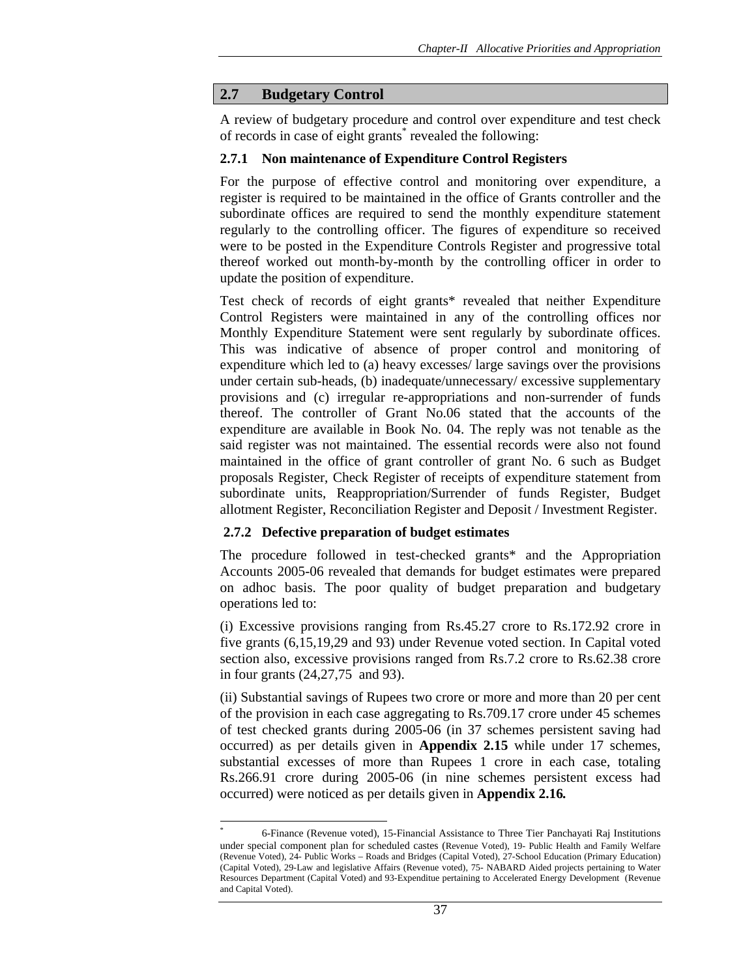# **2.7 Budgetary Control**

A review of budgetary procedure and control over expenditure and test check of records in case of eight grants<sup>\*</sup> revealed the following:

### **2.7.1 Non maintenance of Expenditure Control Registers**

For the purpose of effective control and monitoring over expenditure, a register is required to be maintained in the office of Grants controller and the subordinate offices are required to send the monthly expenditure statement regularly to the controlling officer. The figures of expenditure so received were to be posted in the Expenditure Controls Register and progressive total thereof worked out month-by-month by the controlling officer in order to update the position of expenditure.

Test check of records of eight grants\* revealed that neither Expenditure Control Registers were maintained in any of the controlling offices nor Monthly Expenditure Statement were sent regularly by subordinate offices. This was indicative of absence of proper control and monitoring of expenditure which led to (a) heavy excesses/ large savings over the provisions under certain sub-heads, (b) inadequate/unnecessary/ excessive supplementary provisions and (c) irregular re-appropriations and non-surrender of funds thereof. The controller of Grant No.06 stated that the accounts of the expenditure are available in Book No. 04. The reply was not tenable as the said register was not maintained. The essential records were also not found maintained in the office of grant controller of grant No. 6 such as Budget proposals Register, Check Register of receipts of expenditure statement from subordinate units, Reappropriation/Surrender of funds Register, Budget allotment Register, Reconciliation Register and Deposit / Investment Register.

### **2.7.2 Defective preparation of budget estimates**

 $\overline{\phantom{a}}$ 

The procedure followed in test-checked grants\* and the Appropriation Accounts 2005-06 revealed that demands for budget estimates were prepared on adhoc basis. The poor quality of budget preparation and budgetary operations led to:

(i) Excessive provisions ranging from Rs.45.27 crore to Rs.172.92 crore in five grants (6,15,19,29 and 93) under Revenue voted section. In Capital voted section also, excessive provisions ranged from Rs.7.2 crore to Rs.62.38 crore in four grants (24,27,75 and 93).

(ii) Substantial savings of Rupees two crore or more and more than 20 per cent of the provision in each case aggregating to Rs.709.17 crore under 45 schemes of test checked grants during 2005-06 (in 37 schemes persistent saving had occurred) as per details given in **Appendix 2.15** while under 17 schemes, substantial excesses of more than Rupees 1 crore in each case, totaling Rs.266.91 crore during 2005-06 (in nine schemes persistent excess had occurred) were noticed as per details given in **Appendix 2.16***.*

<sup>\*</sup> 6-Finance (Revenue voted), 15-Financial Assistance to Three Tier Panchayati Raj Institutions under special component plan for scheduled castes (Revenue Voted), 19- Public Health and Family Welfare (Revenue Voted), 24- Public Works – Roads and Bridges (Capital Voted), 27-School Education (Primary Education) (Capital Voted), 29-Law and legislative Affairs (Revenue voted), 75- NABARD Aided projects pertaining to Water Resources Department (Capital Voted) and 93-Expenditue pertaining to Accelerated Energy Development (Revenue and Capital Voted).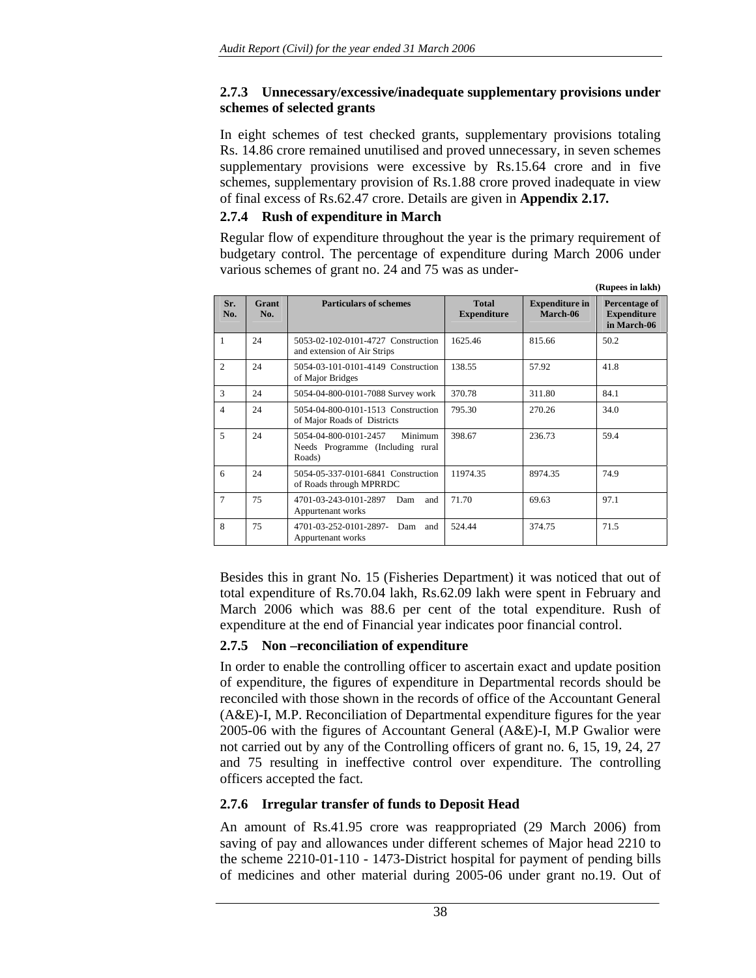# **2.7.3 Unnecessary/excessive/inadequate supplementary provisions under schemes of selected grants**

In eight schemes of test checked grants, supplementary provisions totaling Rs. 14.86 crore remained unutilised and proved unnecessary, in seven schemes supplementary provisions were excessive by Rs.15.64 crore and in five schemes, supplementary provision of Rs.1.88 crore proved inadequate in view of final excess of Rs.62.47 crore. Details are given in **Appendix 2.17***.*

# **2.7.4 Rush of expenditure in March**

Regular flow of expenditure throughout the year is the primary requirement of budgetary control. The percentage of expenditure during March 2006 under various schemes of grant no. 24 and 75 was as under-

|                |              |                                                                                |                                    |                                   | (Rupees in lakh)                                   |
|----------------|--------------|--------------------------------------------------------------------------------|------------------------------------|-----------------------------------|----------------------------------------------------|
| Sr.<br>No.     | Grant<br>No. | <b>Particulars of schemes</b>                                                  | <b>Total</b><br><b>Expenditure</b> | <b>Expenditure in</b><br>March-06 | Percentage of<br><b>Expenditure</b><br>in March-06 |
| 1              | 24           | 5053-02-102-0101-4727 Construction<br>and extension of Air Strips              | 1625.46                            | 815.66                            | 50.2                                               |
| 2              | 24           | 5054-03-101-0101-4149 Construction<br>of Major Bridges                         | 138.55                             | 57.92                             | 41.8                                               |
| 3              | 24           | 5054-04-800-0101-7088 Survey work                                              | 370.78                             | 311.80                            | 84.1                                               |
| $\overline{4}$ | 24           | 5054-04-800-0101-1513 Construction<br>of Major Roads of Districts              | 795.30                             | 270.26                            | 34.0                                               |
| 5              | 24           | 5054-04-800-0101-2457<br>Minimum<br>Needs Programme (Including rural<br>Roads) | 398.67                             | 236.73                            | 59.4                                               |
| 6              | 24           | 5054-05-337-0101-6841 Construction<br>of Roads through MPRRDC                  | 11974.35                           | 8974.35                           | 74.9                                               |
| $\overline{7}$ | 75           | 4701-03-243-0101-2897<br>Dam<br>and<br>Appurtenant works                       | 71.70                              | 69.63                             | 97.1                                               |
| 8              | 75           | 4701-03-252-0101-2897-<br>Dam<br>and<br>Appurtenant works                      | 524.44                             | 374.75                            | 71.5                                               |

Besides this in grant No. 15 (Fisheries Department) it was noticed that out of total expenditure of Rs.70.04 lakh, Rs.62.09 lakh were spent in February and March 2006 which was 88.6 per cent of the total expenditure. Rush of expenditure at the end of Financial year indicates poor financial control.

# **2.7.5 Non –reconciliation of expenditure**

In order to enable the controlling officer to ascertain exact and update position of expenditure, the figures of expenditure in Departmental records should be reconciled with those shown in the records of office of the Accountant General (A&E)-I, M.P. Reconciliation of Departmental expenditure figures for the year 2005-06 with the figures of Accountant General (A&E)-I, M.P Gwalior were not carried out by any of the Controlling officers of grant no. 6, 15, 19, 24, 27 and 75 resulting in ineffective control over expenditure. The controlling officers accepted the fact.

# **2.7.6 Irregular transfer of funds to Deposit Head**

An amount of Rs.41.95 crore was reappropriated (29 March 2006) from saving of pay and allowances under different schemes of Major head 2210 to the scheme 2210-01-110 - 1473-District hospital for payment of pending bills of medicines and other material during 2005-06 under grant no.19. Out of